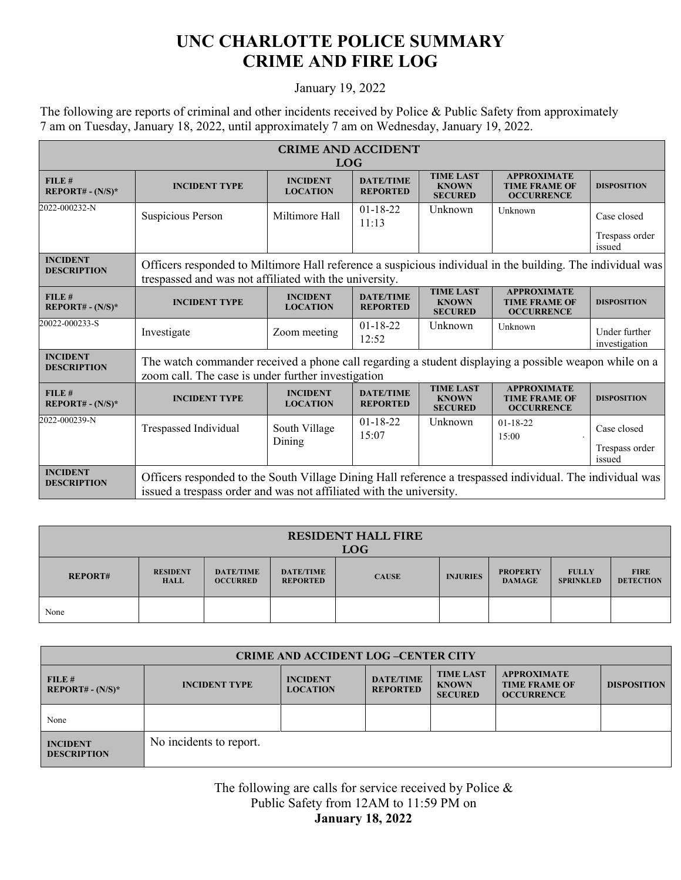## **UNC CHARLOTTE POLICE SUMMARY CRIME AND FIRE LOG**

## January 19, 2022

The following are reports of criminal and other incidents received by Police & Public Safety from approximately 7 am on Tuesday, January 18, 2022, until approximately 7 am on Wednesday, January 19, 2022.

| <b>CRIME AND ACCIDENT</b><br><b>LOG</b>         |                                                                                                                                                                                  |                                    |                                     |                                                    |                                                                 |                                         |  |
|-------------------------------------------------|----------------------------------------------------------------------------------------------------------------------------------------------------------------------------------|------------------------------------|-------------------------------------|----------------------------------------------------|-----------------------------------------------------------------|-----------------------------------------|--|
| FILE #<br>REPORT# - $(N/S)^*$                   | <b>INCIDENT TYPE</b>                                                                                                                                                             | <b>INCIDENT</b><br><b>LOCATION</b> | <b>DATE/TIME</b><br><b>REPORTED</b> | <b>TIME LAST</b><br><b>KNOWN</b><br><b>SECURED</b> | <b>APPROXIMATE</b><br><b>TIME FRAME OF</b><br><b>OCCURRENCE</b> | <b>DISPOSITION</b>                      |  |
| 2022-000232-N                                   | Suspicious Person                                                                                                                                                                | Miltimore Hall                     | $01 - 18 - 22$<br>11:13             | Unknown                                            | Unknown                                                         | Case closed                             |  |
|                                                 |                                                                                                                                                                                  |                                    |                                     |                                                    |                                                                 | Trespass order<br>issued                |  |
| <b>INCIDENT</b><br><b>DESCRIPTION</b>           | Officers responded to Miltimore Hall reference a suspicious individual in the building. The individual was<br>trespassed and was not affiliated with the university.             |                                    |                                     |                                                    |                                                                 |                                         |  |
| FILE#<br>REPORT# - $(N/S)^*$                    | <b>INCIDENT TYPE</b>                                                                                                                                                             | <b>INCIDENT</b><br><b>LOCATION</b> | <b>DATE/TIME</b><br><b>REPORTED</b> | <b>TIME LAST</b><br><b>KNOWN</b><br><b>SECURED</b> | <b>APPROXIMATE</b><br><b>TIME FRAME OF</b><br><b>OCCURRENCE</b> | <b>DISPOSITION</b>                      |  |
| 20022-000233-S                                  | Investigate                                                                                                                                                                      | Zoom meeting                       | $01-18-22$<br>12:52                 | Unknown                                            | Unknown                                                         | Under further<br>investigation          |  |
| <b>INCIDENT</b><br><b>DESCRIPTION</b>           | The watch commander received a phone call regarding a student displaying a possible weapon while on a<br>zoom call. The case is under further investigation                      |                                    |                                     |                                                    |                                                                 |                                         |  |
| FILE #<br><b>REPORT# - <math>(N/S)^*</math></b> | <b>INCIDENT TYPE</b>                                                                                                                                                             | <b>INCIDENT</b><br><b>LOCATION</b> | <b>DATE/TIME</b><br><b>REPORTED</b> | <b>TIME LAST</b><br><b>KNOWN</b><br><b>SECURED</b> | <b>APPROXIMATE</b><br><b>TIME FRAME OF</b><br><b>OCCURRENCE</b> | <b>DISPOSITION</b>                      |  |
| 2022-000239-N                                   | Trespassed Individual                                                                                                                                                            | South Village<br>Dining            | $01 - 18 - 22$<br>15:07             | Unknown                                            | $01-18-22$<br>15:00                                             | Case closed<br>Trespass order<br>issued |  |
| <b>INCIDENT</b><br><b>DESCRIPTION</b>           | Officers responded to the South Village Dining Hall reference a trespassed individual. The individual was<br>issued a trespass order and was not affiliated with the university. |                                    |                                     |                                                    |                                                                 |                                         |  |

| <b>RESIDENT HALL FIRE</b><br><b>LOG</b> |                                |                                     |                                     |              |                 |                                  |                                  |                                 |
|-----------------------------------------|--------------------------------|-------------------------------------|-------------------------------------|--------------|-----------------|----------------------------------|----------------------------------|---------------------------------|
| <b>REPORT#</b>                          | <b>RESIDENT</b><br><b>HALL</b> | <b>DATE/TIME</b><br><b>OCCURRED</b> | <b>DATE/TIME</b><br><b>REPORTED</b> | <b>CAUSE</b> | <b>INJURIES</b> | <b>PROPERTY</b><br><b>DAMAGE</b> | <b>FULLY</b><br><b>SPRINKLED</b> | <b>FIRE</b><br><b>DETECTION</b> |
| None                                    |                                |                                     |                                     |              |                 |                                  |                                  |                                 |

| <b>CRIME AND ACCIDENT LOG-CENTER CITY</b> |                         |                                    |                                     |                                                    |                                                                 |                    |  |
|-------------------------------------------|-------------------------|------------------------------------|-------------------------------------|----------------------------------------------------|-----------------------------------------------------------------|--------------------|--|
| FILE#<br>$REPORT# - (N/S)*$               | <b>INCIDENT TYPE</b>    | <b>INCIDENT</b><br><b>LOCATION</b> | <b>DATE/TIME</b><br><b>REPORTED</b> | <b>TIME LAST</b><br><b>KNOWN</b><br><b>SECURED</b> | <b>APPROXIMATE</b><br><b>TIME FRAME OF</b><br><b>OCCURRENCE</b> | <b>DISPOSITION</b> |  |
| None                                      |                         |                                    |                                     |                                                    |                                                                 |                    |  |
| <b>INCIDENT</b><br><b>DESCRIPTION</b>     | No incidents to report. |                                    |                                     |                                                    |                                                                 |                    |  |

The following are calls for service received by Police & Public Safety from 12AM to 11:59 PM on **January 18, 2022**